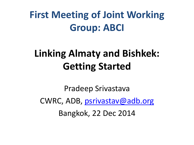#### **First Meeting of Joint Working Group: ABCI**

#### **Linking Almaty and Bishkek: Getting Started**

Pradeep Srivastava CWRC, ADB, [psrivastav@adb.org](mailto:psrivastav@adb.org) Bangkok, 22 Dec 2014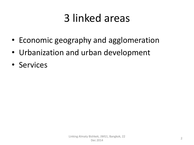# 3 linked areas

- Economic geography and agglomeration
- Urbanization and urban development
- Services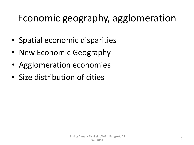#### Economic geography, agglomeration

- Spatial economic disparities
- New Economic Geography
- Agglomeration economies
- Size distribution of cities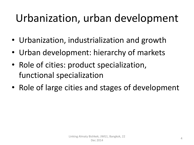# Urbanization, urban development

- Urbanization, industrialization and growth
- Urban development: hierarchy of markets
- Role of cities: product specialization, functional specialization
- Role of large cities and stages of development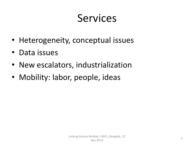## Services

- Heterogeneity, conceptual issues
- Data issues
- New escalators, industrialization
- Mobility: labor, people, ideas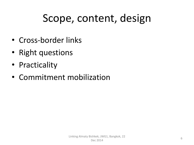# Scope, content, design

- Cross-border links
- Right questions
- Practicality
- Commitment mobilization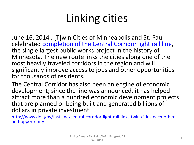June 16, 2014 , [T]win Cities of Minneapolis and St. Paul celebrated [completion of the Central Corridor light rail line,](http://www.fta.dot.gov/newsroom/news_releases/12286_16021.html) the single largest public works project in the history of Minnesota. The new route links the cities along one of the most heavily traveled corridors in the region and will significantly improve access to jobs and other opportunities for thousands of residents.

The Central Corridor has also been an engine of economic development; since the line was announced, it has helped attract more than a hundred economic development projects that are planned or being built and generated billions of dollars in private investment.

[http://www.dot.gov/fastlane/central-corridor-light-rail-links-twin-cities-each-other](http://www.dot.gov/fastlane/central-corridor-light-rail-links-twin-cities-each-other-and-opportunity)[and-opportunity](http://www.dot.gov/fastlane/central-corridor-light-rail-links-twin-cities-each-other-and-opportunity)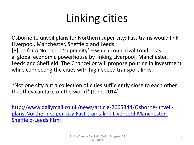Osborne to unveil plans for Northern super city: Fast trains would link Liverpool, Manchester, Sheffield and Leeds [P]lan for a Northern 'super city' – which could rival London as a global economic powerhouse by linking Liverpool, Manchester, Leeds and Sheffield. The Chancellor will propose pouring in investment while connecting the cities with high-speed transport links.

'Not one city but a collection of cities sufficiently close to each other that they can take on the world.' (June 2014)

[http://www.dailymail.co.uk/news/article-2665344/Osborne-unveil](http://www.dailymail.co.uk/news/article-2665344/Osborne-unveil-plans-Northern-super-city-Fast-trains-link-Liverpool-Manchester-Sheffield-Leeds.html)[plans-Northern-super-city-Fast-trains-link-Liverpool-Manchester-](http://www.dailymail.co.uk/news/article-2665344/Osborne-unveil-plans-Northern-super-city-Fast-trains-link-Liverpool-Manchester-Sheffield-Leeds.html)[Sheffield-Leeds.html](http://www.dailymail.co.uk/news/article-2665344/Osborne-unveil-plans-Northern-super-city-Fast-trains-link-Liverpool-Manchester-Sheffield-Leeds.html)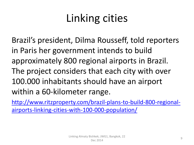Brazil's president, Dilma Rousseff, told reporters in Paris her government intends to build approximately 800 regional airports in Brazil. The project considers that each city with over 100.000 inhabitants should have an airport within a 60-kilometer range.

[http://www.ritzproperty.com/brazil-plans-to-build-800-regional](http://www.ritzproperty.com/brazil-plans-to-build-800-regional-airports-linking-cities-with-100-000-population/)[airports-linking-cities-with-100-000-population/](http://www.ritzproperty.com/brazil-plans-to-build-800-regional-airports-linking-cities-with-100-000-population/)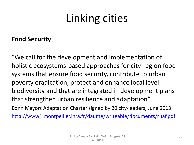#### **Food Security**

"We call for the development and implementation of holistic ecosystems-based approaches for city-region food systems that ensure food security, contribute to urban poverty eradication, protect and enhance local level biodiversity and that are integrated in development plans that strengthen urban resilience and adaptation" Bonn Mayors Adaptation Charter signed by 20 city-leaders, June 2013 <http://www1.montpellier.inra.fr/daume/writeable/documents/ruaf.pdf>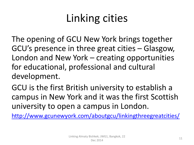The opening of GCU New York brings together GCU's presence in three great cities – Glasgow, London and New York – creating opportunities for educational, professional and cultural development.

GCU is the first British university to establish a campus in New York and it was the first Scottish university to open a campus in London.

<http://www.gcunewyork.com/aboutgcu/linkingthreegreatcities/>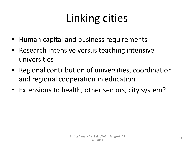- Human capital and business requirements
- Research intensive versus teaching intensive universities
- Regional contribution of universities, coordination and regional cooperation in education
- Extensions to health, other sectors, city system?